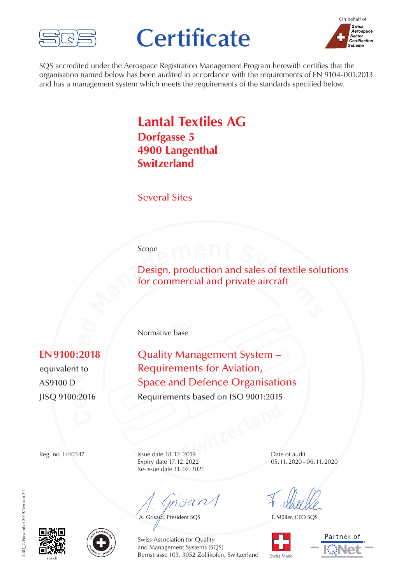

# **Certificate**



SQS accredited under the Aerospace Registration Management Program herewith certifies that the organisation named below has been audited in accordance with the requirements of EN 9104-001:2013 and has a management system which meets the requirements of the standards specified below.

## **Lantal Textiles AG Dorfgasse 5 4900 Langenthal Switzerland**

Several Sites

#### Scope

**scope**<br> **Design, production and sales of textile solution commercial and private aircraft** Design, production and sales of textile solutions for commercial and private aircraft

**by** Normative base

## $\overline{a}$ . **ied**

 $^{0:20^{\circ}}$ **rAS9100 D** e**nt tr** 

**EN9100:2018** Quality Management System – Requirements for Aviation, **Space and Defence Organisations** Requirements based on ISO 9001:2015

**Switzerland** Expiry date 17.12.2022 Re-issue date 11.02.2021

mdan

A. Grisard, President SQS

Reg. no. H40347 Issue date 18.12.2019 Date of audit<br>Expiry date 17.12.2022 05.11.2020–06.11.2020

F. Müller, CEO SQS



Partner of





Swiss Association for Quality and Management Systems (SQS) Bernstrasse 103, 3052 Zollikofen, Switzerland